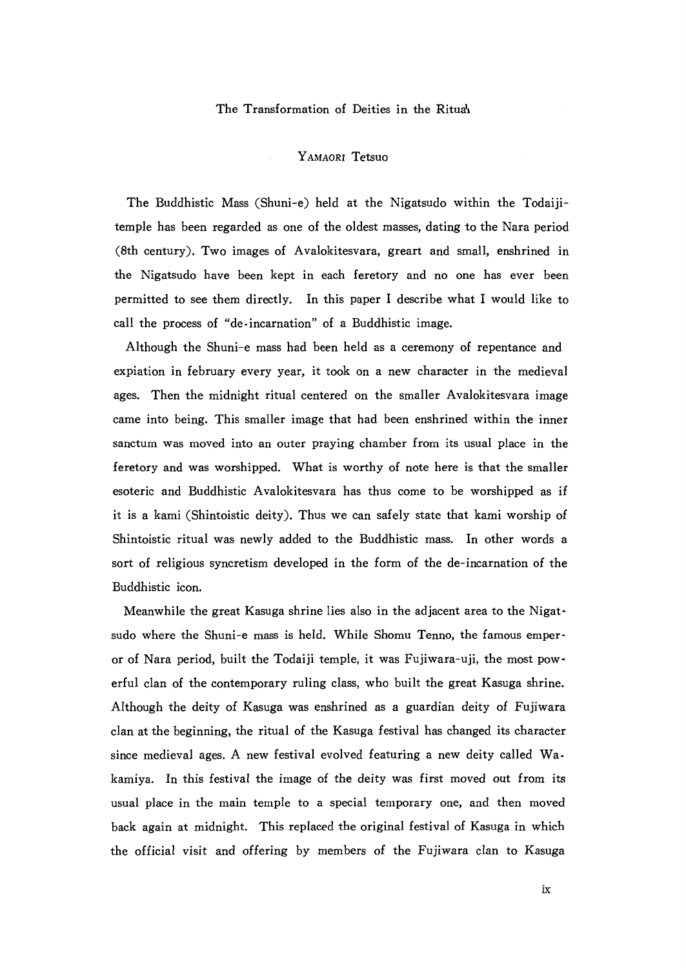## The Transformation of Deities in the Rituah

## YAMAORI Tetsuo

The Buddhistic Mass (Shuni-e) held at the Nigatsudo within the Todaijitemple has been regarded as one of the oldest masses, dating to the Nara period (8th century). Two images of Avalokitesvara, greart and small, enshrined in the Nigatsudo have been kept in each feretory and no one has ever been permitted to see them directly. In this paper I describe what I would like to call the process of "de-incarnation" of a Buddhistic image.

 Although the Shuni-e mass had been held as a ceremony of repentance and expiation in february every year, it took on a new character in the medieval ages. Then the midnight ritual centered on the smaller Avalokitesvara image came into being. This smaller image that had been enshrined within the inner sanctum was moved into an outer praying chamber from its usual place in the feretory and was worshipped. What is worthy of note here is that the smaller esoteric and Buddhistic Avalokitesvara has thus come to be worshipped as if it is a kami(Shintoistic deity). Thus we can safely state that kami worship of Shintoistic ritual was newly added to the Buddhistic mass. In other words a sort of religious syncretism developed in the form of the de-incamation of the Buddhistic icon.

 Meanwhile the great Kasuga shrine lies also in the adjacent area to the Nigat・ sudo where the Shuni-e mass is held. While Shomu Tenno, the famous emperor of Nara period, built the Todaiji temple, it was Fujiwara-uji, the most pow・ erful clan of the contemporary ruling class, who built the great Kasuga shrine. Although the deity of Kasuga was enshrined as a guardian deity of Fujiwara clan at the beginning, the ritual of the Kasuga festival has changed its character since medieval ages. A new festival evolved featuring a new deity called Wakamiya. In this festival the image of the deity was first moved out from its usual place in the main temple to a special temporary one, and then moved back again at midnight. This replaced the original festival of Kasuga in which the official visit and offering by members of the Fujiwara clan to Kasuga